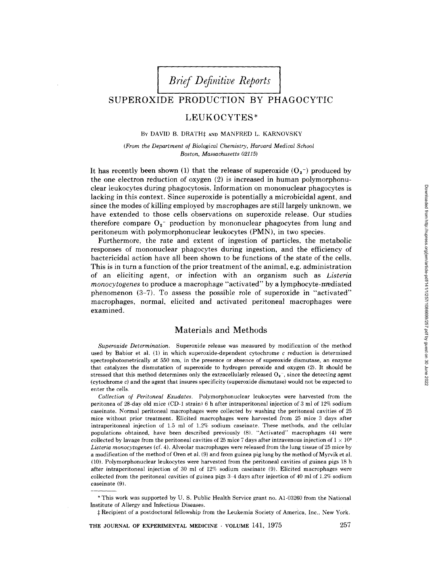# SUPEROXIDE PRODUCTION BY PHAGOCYTIC

# LEUKOCYTES\*

#### BY DAVID B. DRATHf AND MANFRED L. KARNOVSKY

(From the Department of Biological Chemistry, Harvard Medical School Boston, Massachusetts 02115)

It has recently been shown (1) that the release of superoxide  $(O_2^-)$  produced by the one electron reduction of oxygen (2) is increased in human polymorphonuclear leukocytes during phagocytosis . Information on mononuclear phagocytes is lacking in this context. Since superoxide is potentially a microbicidal agent, and since the modes of killing employed by macrophages are still largely unknown, we have extended to those cells observations on superoxide release. Our studies therefore compare  $O_2$ - production by mononuclear phagocytes from lung and peritoneum with polymorphonuclear leukocytes (PMN), in two species.

Furthermore, the rate and extent of ingestion of particles, the metabolic responses of mononuclear phagocytes during ingestion, and the efficiency of bactericidal action have all been shown to be functions of the state of the cells. This is in turn a function of the prior treatment of the animal, e.g. administration of an eliciting agent, or infection with an organism such as Listeria monocytogenes to produce a macrophage "activated" by a lymphocyte-mediated phenomenon (3-7) . To assess the possible role of superoxide in "activated" macrophages, normal, elicited and activated peritoneal macrophages were examined.

## Materials and Methods

Superoxide Determination. Superoxide release was measured by modification of the method used by Babior et al.  $(1)$  in which superoxide-dependent cytochrome c reduction is determined spectrophotometrically at 550 nm, in the presence or absence of superoxide dismutase, an enzyme that catalyzes the dismutation of superoxide to hydrogen peroxide and oxygen (2) . It should be stressed that this method determines only the extracellularly released  $O_2^-$ , since the detecting agent (cytochrome  $c$ ) and the agent that insures specificity (superoxide dismutase) would not be expected to enter the cells.

Collection of Peritoneal Exudates. Polymorphonuclear leukocytes were harvested from the peritonea of 28-day old mice (CD-1 strain) 6 h after intraperitoneal injection of 3 ml of 12% sodium caseinate. Normal peritoneal macrophages were collected by washing the peritoneal cavities of 25 mice without prior treatment. Elicited macrophages were harvested from 25 mice 3 days after intraperitoneal injection of 1.5 ml of 1.2% sodium caseinate. These methods, and the cellular populations obtained, have been described previously (8) . "Activated" macrophages (4) were collected by lavage from the peritoneal cavities of 25 mice 7 days after intravenous injection of  $1 \times 10^3$ Listeria monocytogenes (cf. 4) . Alveolar macrophages were released from the lung tissue of 25 mice by a modification of the method of Oren et al. (9) and from guinea pig lung by the method of Myrvik et al. (10) . Polymorphonuclear leukocytes were harvested from the peritoneal cavities of guinea pigs 18 h after intraperitoneal injection of 30 ml of 12% sodium caseinate (9) . Elicited macrophages were collected from the peritoneal cavities of guinea pigs 3-4 days after injection of 40 ml of 1.2% sodium caseinate (9) .

THE JOURNAL OF EXPERIMENTAL MEDICINE - VOLUME 141, 1975 257

<sup>\*</sup> This work was supported by U. S. Public Health Service grant no . Al-03260 from the National Institute of Allergy and Infectious Diseases .

f Recipient of a postdoctoral fellowship from the Leukemia Society of America, Inc., New York .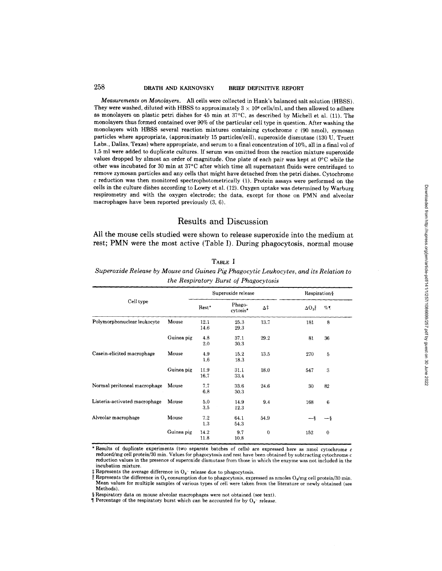### 258 DRATH AND KARNOVSKY BRIEF DEFINITIVE REPORT

Measurements on Monolayers. All cells were collected in Hank's balanced salt solution (HBSS). They were washed, diluted with HBSS to approximately  $3\times 10^{\circ}$  cells/ml, and then allowed to adhere as monolayers on plastic petri dishes for 45 min at 37°C, as described by Michell et al . (11) . The monolayers thus formed contained over 90% of the particular cell type in question . After washing the monolayers with HBSS several reaction mixtures containing cytochrome c (90 nmol), zymosan particles where appropriate, (approximately 15 particles/cell), superoxide dismutase (130 U, Truett Labs., Dallas, Texas) where appropriate, and serum to a final concentration of 10%, all in a final vol of 1.5 ml were added to duplicate cultures . If serum was omitted from the reaction mixture superoxide values dropped by almost an order of magnitude. One plate of each pair was kept at 0°C while the other was incubated for 30 min at 37°C after which time all supernatant fluids were centrifuged to remove zymosan particles and any cells that might have detached from the petri dishes . Cytochrome c reduction was then monitored spectrophotometrically (1). Protein assays were performed on the cells in the culture dishes according to Lowry et al . (12) . Oxygen uptake was determined by Warburg respirometry and with the oxygen electrode; the data, except for those on PMN and alveolar macrophages have been reported previously (3, 6) .

### Results and Discussion

All the mouse cells studied were shown to release superoxide into the medium at rest; PMN were the most active (Table I). During phagocytosis, normal mouse

|                               |            | Superoxide release |                    |                  | Respiration§ |                  |
|-------------------------------|------------|--------------------|--------------------|------------------|--------------|------------------|
| Cell type                     |            | Rest*              | Phago-<br>cytosis* | Δ‡               | $\Delta O_2$ | %¶               |
| Polymorphonuclear leukocyte   | Mouse      | 12.1<br>14.6       | 25.3<br>29.3       | 13.7             | 181          | 8                |
|                               | Guinea pig | 4.8<br>2.0         | 37.1<br>30.3       | 29.2             | 81           | 36               |
| Casein-elicited macrophage    | Mouse      | 4,9<br>1.6         | 15.2<br>18.3       | 13.5             | 270          | 5                |
|                               | Guinea pig | 11.9<br>16.7       | 31.1<br>33.4       | 18.0             | 547          | $\boldsymbol{3}$ |
| Normal peritoneal macrophage  | Mouse      | 7.7<br>6.8         | 33.6<br>30.3       | 24.6             | 30           | 82               |
| Listeria-activated macrophage | Mouse      | 5.0<br>3.5         | 14.9<br>12.3       | 9.4              | 168          | $6\phantom{1}6$  |
| Alveolar macrophage           | Mouse      | 7.2<br>1.3         | 64.1<br>54.3       | 54.9             | — §          | —§               |
|                               | Guinea pig | 14.2<br>11.8       | 9.7<br>10,8        | $\boldsymbol{0}$ | 152          | $\bf{0}$         |

### TABLE I

Superoxide Release by Mouse and Guinea Pig Phagocytic Leukocytes, and its Relation to the Respiratory Burst of Phagocytosis

\* Results of duplicate experiments (two separate batches of cells) are expressed here as nmol cytochrome c reduced/mg cell protein/30 min. Values for phagocytosis and rest have been obtained by subtracting cytochrome c reduction values in the presence of superoxide dismutase from those in which the enzyme was not included in the incubation mixture.

Represents the difference in  $O_2$  consumption due to phagocytosis, expressed as nmoles  $O_2/mg$  cell protein/30 min. Mean values for multiple samples of various types of cell were taken from the literature or newly obtained (see Methods).<br>§Respiratory data on mouse alveolar macrophages were not obtained (see text).

 $\P$  Percentage of the respiratory burst which can be accounted for by O<sub>2</sub>- release.

Downloaded from http://rupress.org/jem/article-pdf/141/1/257/1086699/257.pdf by guest on 30 June 2022 Downloaded from http://rupress.org/jem/article-pdf/141/1/257/1086699/257.pdf by guest on 30 June 2022

 $\ddagger$  Represents the average difference in  $O_2$  release due to phagocytosis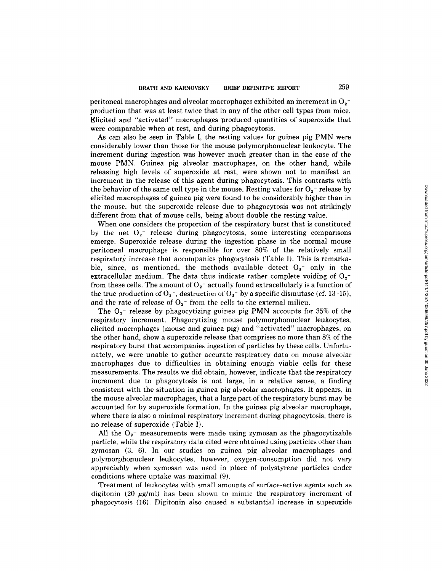peritoneal macrophages and alveolar macrophages exhibited an increment in  $O_2^$ production that was at least twice that in any of the other cell types from mice. Elicited and "activated" macrophages produced quantities of superoxide that were comparable when at rest, and during phagocytosis.

As can also be seen in Table 1, the resting values for guinea pig PMN were considerably lower than those for the mouse polymorphonuclear leukocyte. The increment during ingestion was however much greater than in the case of the mouse PMN. Guinea pig alveolar macrophages, on the other hand, while releasing high levels of superoxide at rest, were shown not to manifest an increment in the release of this agent during phagocytosis . This contrasts with the behavior of the same cell type in the mouse. Resting values for  $O_2$ <sup>-</sup> release by elicited macrophages of guinea pig were found to be considerably higher than in the mouse, but the superoxide release due to phagocytosis was not strikingly different from that of mouse cells, being about double the resting value.

When one considers the proportion of the respiratory burst that is constituted by the net  $O_2$ <sup>-</sup> release during phagocytosis, some interesting comparisons emerge. Superoxide release during the ingestion phase in the normal mouse peritoneal macrophage is responsible for over 80% of the relatively small respiratory increase that accompanies phagocytosis (Table I) . This is remarkable, since, as mentioned, the methods available detect  $O_2$  only in the extracellular medium. The data thus indicate rather complete voiding of  $O_2$ from these cells. The amount of  $O_2$ <sup>-</sup> actually found extracellularly is a function of the true production of  $O_2$ , destruction of  $O_2$ , by a specific dismutase (cf. 13-15), and the rate of release of  $O_2$ <sup>-</sup> from the cells to the external milieu.

The  $O_2$ <sup>-</sup> release by phagocytizing guinea pig PMN accounts for 35% of the respiratory increment. Phagocytizing mouse polymorphonuclear leukocytes, elicited macrophages (mouse and guinea pig) and "activated" macrophages, on the other hand, show a superoxide release that comprises no more than  $8\%$  of the respiratory burst that accompanies ingestion of particles by these cells. Unfortunately, we were unable to gather accurate respiratory data on mouse alveolar macrophages due to difficulties in obtaining enough viable cells for these measurements . The results we did obtain, however, indicate that the respiratory increment due to phagocytosis is not large, in a relative sense, a finding consistent with the situation in guinea pig alveolar macrophages. It appears, in the mouse alveolar macrophages, that a large part of the respiratory burst maybe accounted for by superoxide formation. In the guinea pig alveolar macrophage, where there is also a minimal respiratory increment during phagocytosis, there is no release of superoxide (Table I).

All the  $O_2$ <sup>-</sup> measurements were made using zymosan as the phagocytizable particle, while the respiratory data cited were obtained using particles other than zymosan (3, 6) . In our studies on guinea pig alveolar macrophages and polymorphonuclear leukocytes, however, oxygen-consumption did not vary appreciably when zymosan was used in place of polystyrene particles under conditions where uptake was maximal (9) .

Treatment of leukocytes with small amounts of surface-active agents such as digitonin (20  $\mu$ g/ml) has been shown to mimic the respiratory increment of phagocytosis (16) . Digitonin also caused a substantial increase in superoxide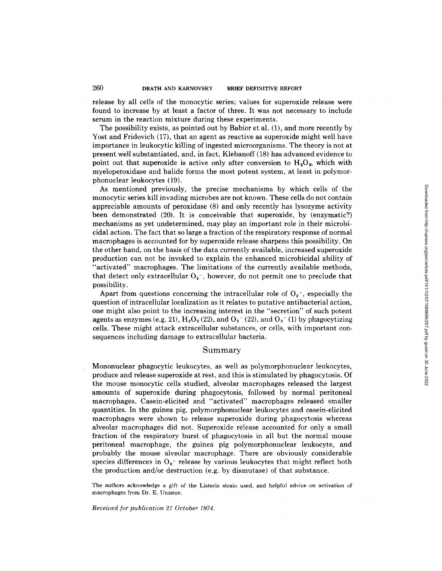release by all cells of the monocytic series; values for superoxide release were found to increase by at least a factor of three. It was not necessary to include serum in the reaction mixture during these experiments.

The possibility exists, as pointed out by Babior et al . (1), and more recently by Yost and Fridovich (17), that an agent as reactive as superoxide might well have importance in leukocytic killing of ingested microorganisms. The theory is not at present well substantiated, and, in fact, Klebanoff (18) has advanced evidence to point out that superoxide is active only after conversion to  $H_2O_2$ , which with myeloperoxidase and halide forms the most potent system, at least in polymorphonuclear leukocytes (19) .

As mentioned previously, the precise mechanisms by which cells of the monocytic series kill invading microbes are not known. These cells do not contain appreciable amounts of peroxidase (8) and only recently has lysozyme activity been demonstrated (20) . It is conceivable that superoxide, by (enzymatic?) mechanisms as yet undetermined, may play an important role in their microbicidal action. The fact that so large a fraction of the respiratory response of normal macrophages is accounted for by superoxide release sharpens this possibility. On the other hand, on the basis of the data currently available, increased superoxide production can not be invoked to explain the enhanced microbicidal ability of "activated" macrophages. The limitations of the currently available methods, that detect only extracellular  $O_2^-$ , however, do not permit one to preclude that possibility.

Apart from questions concerning the intracellular role of  $O_2^-$ , especially the question of intracellular localization as it relates to putative antibacterial action, one might also point to the increasing interest in the "secretion" of such potent agents as enzymes (e.g. 21),  $H_2O_2(22)$ , and  $O_2$ <sup>-</sup> (22), and  $O_2$ <sup>-</sup> (1) by phagocytizing cells . These might attack extracellular substances, or cells, with important consequences including damage to extracellular bacteria.

### Summary

Mononuclear phagocytic leukocytes, as well as polymorphonuclear leukocytes, produce and release superoxide at rest, and this is stimulated by phagocytosis . Of the mouse monocytic cells studied, alveolar macrophages released the largest amounts of superoxide during phagocytosis, followed by normal peritoneal macrophages. Casein-elicited and "activated" macrophages released smaller quantities. In the guinea pig, polymorphonuclear leukocytes and casein-elicited macrophages were shown to release superoxide during phagocytosis whereas alveolar macrophages did not . Superoxide release accounted for only a small fraction of the respiratory burst of phagocytosis in all but the normal mouse peritoneal macrophage, the guinea pig polymorphonuclear leukocyte, and probably the mouse alveolar macrophage . There are obviously considerable species differences in  $O_2$ <sup>-</sup> release by various leukocytes that might reflect both the production and/or destruction (e.g. by dismutase) of that substance.

The authors acknowledge a gift of the Listeria strain used, and helpful advice on activation of macrophages from Dr. E. Unanue.

Received for publication 2 1 October 1974 .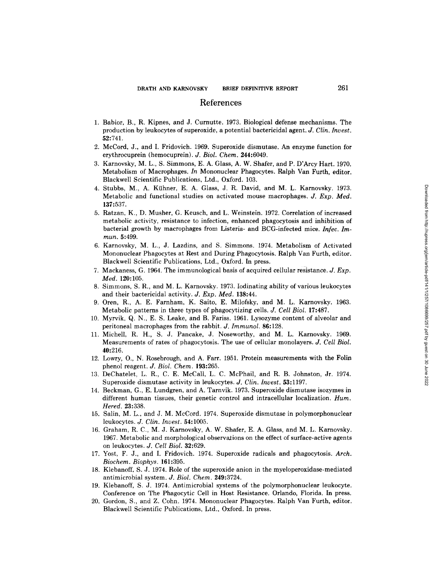### References

- 1. Babior, B., R. Kipnes, and J. Curnutte. 1973. Biological defense mechanisms. The production by leukocytes of superoxide, <sup>a</sup> potential bactericidal agent. J. Clin. Invest. 52:741.
- 2. McCord, J., and <sup>I</sup> . Fridovich . 1969. Superoxide dismutase. An enzyme function for erythrocuprein (hemocuprein). J. Biol. Chem. 244:6049.
- 3. Karnovsky, M. L., <sup>S</sup> . Simmons, E. A. Glass, A. W. Shafer, and P. D'Arcy Hart. 1970. Metabolism of Macrophages . In Mononuclear Phagocytes. Ralph Van Furth, editor. Blackwell Scientific Publications, Ltd., Oxford. 103.
- 4. Stubbs, M., A. K{ihner, <sup>E</sup> . A. Glass, J. R. David, and M. L. Karnovsky . 1973. Metabolic and functional studies on activated mouse macrophages. J. Exp. Med. 137:537.
- 5. Ratzan, K., D. Musher, G . Keusch, and L. Weinstein . 1972. Correlation of increased metabolic activity, resistance to infection, enhanced phagocytosis and inhibition of bacterial growth by macrophages from Listeria- and BCG-infected mice. Infec. Immun. 5:499. Blackwell Scientific Publications, Ltd., Class, J. R. David, and M. L. Kennewsky. 1993.<br>
Metabolic and functions, Ltd., Class, J. R. David, and C. Weinstein. 1972. Correlation of increased<br>
Battering, D. Musher, G. Kensch,
- <sup>6</sup> . Karnovsky, M. L., J. Lazdins, and <sup>S</sup> . Simmons. 1974. Metabolism of Activated Mononuclear Phagocytes at Rest and During Phagocytosis . Ralph Van Furth, editor . Blackwell Scientific Publications, Ltd., Oxford. In press.
- 7. Mackaness, G. 1964. The immunological basis of acquired cellular resistance. J.  $Exp$ . Med. 120:105.
- 8. Simmons, S. R., and M. L. Karnovsky . 1973. Iodinatin g ability of various leukocytes and their bactericidal activity. J. Exp. Med. 138:44.
- 9. Oren, R., A. E. Farnham, K. Saito, E. Milofsky, and M. L. Karnovsky . <sup>1963</sup> . Metabolic patterns in three types of phagocytizing cells. J. Cell Biol. 17:487.
- 10. Myrvik, Q. N., E. S. Leake, and B. Fariss . <sup>1961</sup> . Lysozyme content of alveolar and peritoneal macrophages from the rabbit . J. Immunol. 86:128.
- 11. Michell, R. H., S. J. Pancake, J. Noseworthy, and M. L. Karnovsky. 1969. Measurement <sup>s</sup> of rates of phagocytosis. The use of cellular monolayers. J. Cell Biol. 40:216.
- 12. Lowry, O., N . Rosebrough, and A. Farr. <sup>1951</sup> . Protein measurements with the Folin phenol reagent. J. Biol. Chem. 193:265.
- 13. DeChatelet, L. R., C . E. McCall, L. C. McPhail, and R. B. Johnston, Jr. 1974. Superoxide dismutase activity in leukocytes. J. Clin. Invest. 53:1197.
- 14. Beckman, G., E. Lundgren, and A. Tarnvik . 1973. Superoxide dismutase isozymes in different human tissues, their genetic control and intracellular localization. Hum. Hered. 23:338.
- 15 . Salin, M. L., and J. M. McCord. 1974. Superoxid <sup>e</sup> dismutase in polymorphonuclear leukocytes. J. Clin. Invest. 54:1005.
- 16. Graham, R. C., M. J. Karnovsky, A. W. Shafer, E. A. Glass, and M. L. Karnovsky. 1967. Metaboli <sup>c</sup> and morphological observations on the effect of surface-active agents on leukocytes. J. Cell Biol. 32:629.
- 17. Yost, F. J., and <sup>I</sup> . Fridovich . 1974. Superoxide radicals and phagocytosis. Arch. Biochem. Biophys. 161:395.
- 18. Klebanoff, S . J. 1974. Role of the superoxide anion in the myeloperoxidase-mediated antimicrobial system. J. Biol. Chem. 249:3724.
- 19. Klebanoff, S. J . 1974. Antimicrobial systems of the polymorphonuclear leukocyte . Conference on The Phagocytic Cell in Host Resistance. Orlando, Florida. In press.
- 20. Gordon, S., and Z. Cohn. 1974. Mononuclear Phagocytes. Ralph Van Furth, editor .